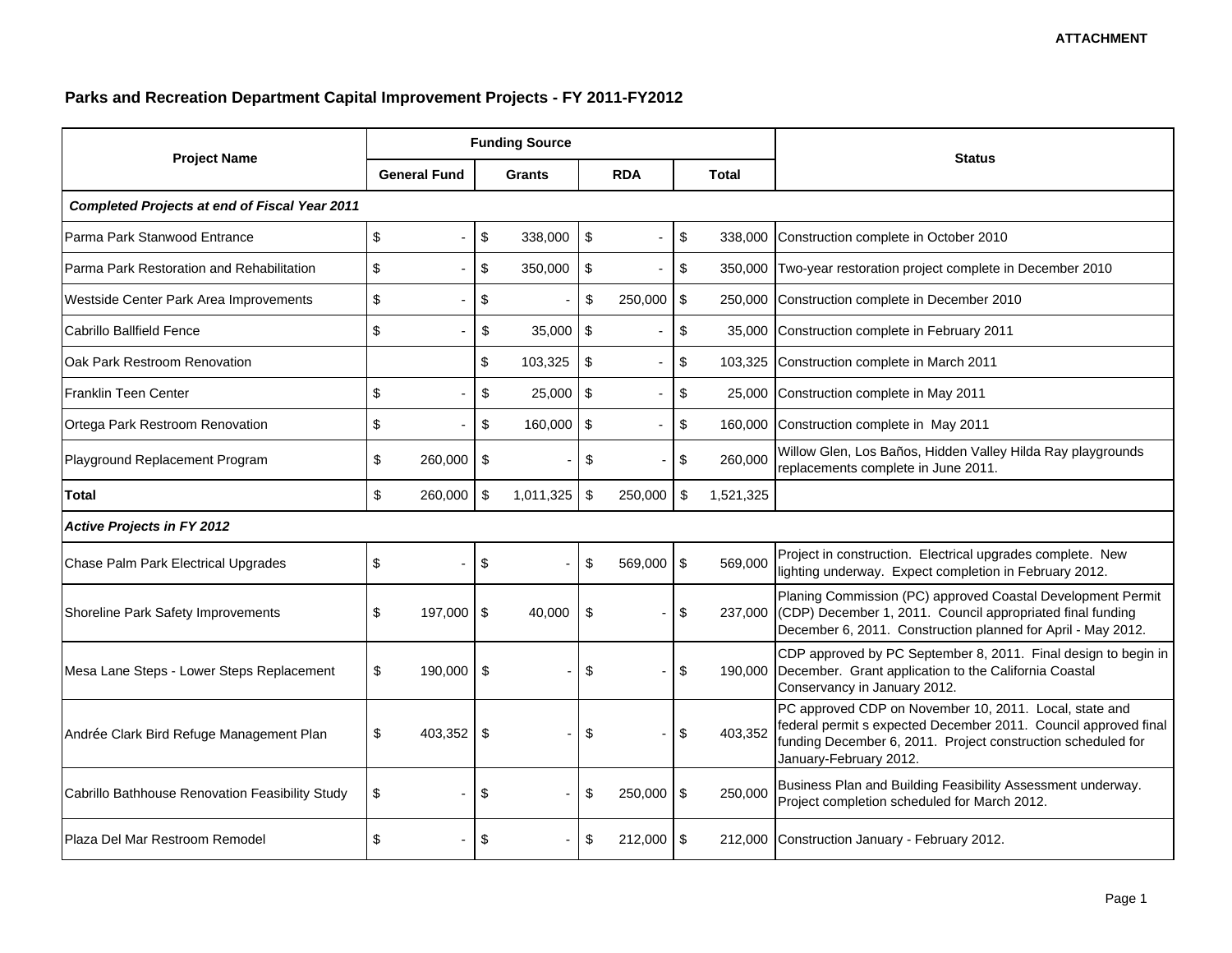## **Parks and Recreation Department Capital Improvement Projects - FY 2011-FY2012**

| <b>Project Name</b>                                  | <b>Funding Source</b> |                      |                         |                          |                                                                                                                                                                                                                     |  |  |  |  |
|------------------------------------------------------|-----------------------|----------------------|-------------------------|--------------------------|---------------------------------------------------------------------------------------------------------------------------------------------------------------------------------------------------------------------|--|--|--|--|
|                                                      | <b>General Fund</b>   | <b>Grants</b>        | <b>RDA</b>              | Total                    | <b>Status</b>                                                                                                                                                                                                       |  |  |  |  |
| <b>Completed Projects at end of Fiscal Year 2011</b> |                       |                      |                         |                          |                                                                                                                                                                                                                     |  |  |  |  |
| Parma Park Stanwood Entrance                         | \$                    | \$<br>338,000        | $$\mathbb{S}$$          | $\sqrt[6]{\frac{1}{2}}$  | 338,000 Construction complete in October 2010                                                                                                                                                                       |  |  |  |  |
| Parma Park Restoration and Rehabilitation            | $\mathfrak s$         | \$<br>350,000        | $\sqrt[6]{\frac{1}{2}}$ | $\sqrt[6]{\frac{1}{2}}$  | 350,000 Two-year restoration project complete in December 2010                                                                                                                                                      |  |  |  |  |
| Westside Center Park Area Improvements               | \$                    | \$                   | \$<br>250,000           | $\sqrt[6]{\frac{1}{2}}$  | 250,000 Construction complete in December 2010                                                                                                                                                                      |  |  |  |  |
| Cabrillo Ballfield Fence                             | \$                    | \$<br>35,000         | \$                      | $\sqrt[6]{\frac{1}{2}}$  | 35,000 Construction complete in February 2011                                                                                                                                                                       |  |  |  |  |
| Oak Park Restroom Renovation                         |                       | \$<br>103,325        | $\mathfrak s$           | $\mathfrak s$            | 103,325 Construction complete in March 2011                                                                                                                                                                         |  |  |  |  |
| <b>Franklin Teen Center</b>                          | \$                    | \$<br>$25,000$ \$    |                         | \$                       | 25,000 Construction complete in May 2011                                                                                                                                                                            |  |  |  |  |
| Ortega Park Restroom Renovation                      | \$                    | \$<br>$160,000$ \$   |                         | \$                       | 160,000 Construction complete in May 2011                                                                                                                                                                           |  |  |  |  |
| Playground Replacement Program                       | \$<br>260,000         | \$                   | \$                      | \$<br>260,000            | Willow Glen, Los Baños, Hidden Valley Hilda Ray playgrounds<br>replacements complete in June 2011.                                                                                                                  |  |  |  |  |
| <b>Total</b>                                         | \$<br>260,000         | \$<br>$1,011,325$ \$ | 250,000                 | \$<br>1,521,325          |                                                                                                                                                                                                                     |  |  |  |  |
| <b>Active Projects in FY 2012</b>                    |                       |                      |                         |                          |                                                                                                                                                                                                                     |  |  |  |  |
| Chase Palm Park Electrical Upgrades                  | \$                    | \$                   | \$<br>569.000           | \$<br>569,000            | Project in construction. Electrical upgrades complete. New<br>lighting underway. Expect completion in February 2012.                                                                                                |  |  |  |  |
| Shoreline Park Safety Improvements                   | 197,000 \$<br>\$      | 40,000               | \$                      | \$                       | Planing Commission (PC) approved Coastal Development Permit<br>237,000 (CDP) December 1, 2011. Council appropriated final funding<br>December 6, 2011. Construction planned for April - May 2012.                   |  |  |  |  |
| Mesa Lane Steps - Lower Steps Replacement            | \$<br>190,000         | \$                   | \$                      | \$                       | CDP approved by PC September 8, 2011. Final design to begin in<br>190,000 December. Grant application to the California Coastal<br>Conservancy in January 2012.                                                     |  |  |  |  |
| Andrée Clark Bird Refuge Management Plan             | 403,352<br>\$         | \$                   | \$                      | $\sqrt[6]{2}$<br>403.352 | PC approved CDP on November 10, 2011. Local, state and<br>federal permit s expected December 2011. Council approved final<br>funding December 6, 2011. Project construction scheduled for<br>January-February 2012. |  |  |  |  |
| Cabrillo Bathhouse Renovation Feasibility Study      | \$                    | \$                   | \$<br>250,000           | \$<br>250,000            | Business Plan and Building Feasibility Assessment underway.<br>Project completion scheduled for March 2012.                                                                                                         |  |  |  |  |
| Plaza Del Mar Restroom Remodel                       | \$                    | \$                   | \$<br>212,000           | -\$                      | 212,000 Construction January - February 2012.                                                                                                                                                                       |  |  |  |  |